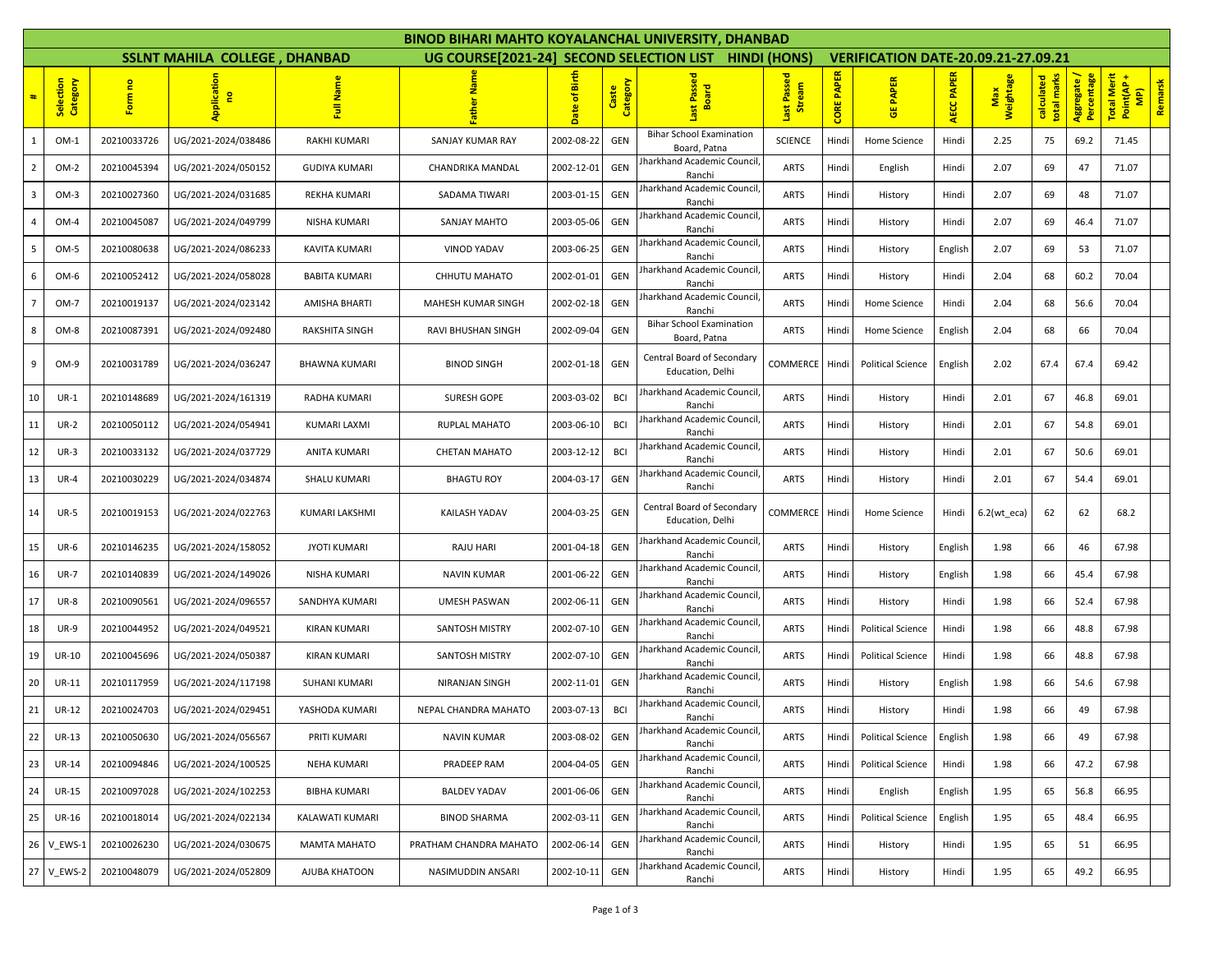| <b>BINOD BIHARI MAHTO KOYALANCHAL UNIVERSITY, DHANBAD</b> |                                                                                                                                                |             |                     |                      |                        |                         |                   |                                                 |                       |                   |                          |                   |                  |                           |                           |                                                                     |
|-----------------------------------------------------------|------------------------------------------------------------------------------------------------------------------------------------------------|-------------|---------------------|----------------------|------------------------|-------------------------|-------------------|-------------------------------------------------|-----------------------|-------------------|--------------------------|-------------------|------------------|---------------------------|---------------------------|---------------------------------------------------------------------|
|                                                           | SSLNT MAHILA COLLEGE, DHANBAD<br>UG COURSE[2021-24] SECOND SELECTION LIST<br><b>HINDI (HONS)</b><br><b>VERIFICATION DATE-20.09.21-27.09.21</b> |             |                     |                      |                        |                         |                   |                                                 |                       |                   |                          |                   |                  |                           |                           |                                                                     |
| #                                                         | Category<br>Selection                                                                                                                          | Form no     | Application<br>e    | Full Name            |                        | <b>Birth</b><br>Date of | Caste<br>Category | Last Passed<br>Board                            | Last Passed<br>Stream | <b>CORE PAPER</b> | <b>GE PAPER</b>          | <b>AECC PAPER</b> | Weightage<br>Max | total marks<br>calculated | Aggregate /<br>Percentage | <b>Total Merit</b><br>Remarsk<br>Point(AP<br>$\widehat{\mathbf{E}}$ |
| -1                                                        | $OM-1$                                                                                                                                         | 20210033726 | UG/2021-2024/038486 | RAKHI KUMARI         | SANJAY KUMAR RAY       | 2002-08-22              | GEN               | <b>Bihar School Examination</b><br>Board, Patna | <b>SCIENCE</b>        | Hindi             | Home Science             | Hindi             | 2.25             | 75                        | 69.2                      | 71.45                                                               |
| 2                                                         | OM-2                                                                                                                                           | 20210045394 | UG/2021-2024/050152 | <b>GUDIYA KUMARI</b> | CHANDRIKA MANDAL       | 2002-12-01              | GEN               | harkhand Academic Council<br>Ranchi             | <b>ARTS</b>           | Hindi             | English                  | Hindi             | 2.07             | 69                        | 47                        | 71.07                                                               |
| 3                                                         | $OM-3$                                                                                                                                         | 20210027360 | UG/2021-2024/031685 | REKHA KUMARI         | SADAMA TIWARI          | 2003-01-15              | GEN               | Jharkhand Academic Council<br>Ranchi            | <b>ARTS</b>           | Hindi             | History                  | Hindi             | 2.07             | 69                        | 48                        | 71.07                                                               |
|                                                           | OM-4                                                                                                                                           | 20210045087 | UG/2021-2024/049799 | NISHA KUMARI         | SANJAY MAHTO           | 2003-05-06              | GEN               | harkhand Academic Council<br>Ranchi             | <b>ARTS</b>           | Hindi             | History                  | Hindi             | 2.07             | 69                        | 46.4                      | 71.07                                                               |
| 5                                                         | OM-5                                                                                                                                           | 20210080638 | UG/2021-2024/086233 | <b>KAVITA KUMARI</b> | <b>VINOD YADAV</b>     | 2003-06-25              | GEN               | Jharkhand Academic Council<br>Ranchi            | <b>ARTS</b>           | Hindi             | History                  | English           | 2.07             | 69                        | 53                        | 71.07                                                               |
| 6                                                         | OM-6                                                                                                                                           | 20210052412 | UG/2021-2024/058028 | <b>BABITA KUMARI</b> | CHHUTU MAHATO          | 2002-01-01              | GEN               | Jharkhand Academic Council<br>Ranchi            | <b>ARTS</b>           | Hindi             | History                  | Hindi             | 2.04             | 68                        | 60.2                      | 70.04                                                               |
|                                                           | OM-7                                                                                                                                           | 20210019137 | UG/2021-2024/023142 | AMISHA BHARTI        | MAHESH KUMAR SINGH     | 2002-02-18              | GEN               | Jharkhand Academic Council<br>Ranchi            | <b>ARTS</b>           | Hindi             | Home Science             | Hindi             | 2.04             | 68                        | 56.6                      | 70.04                                                               |
| 8                                                         | OM-8                                                                                                                                           | 20210087391 | UG/2021-2024/092480 | RAKSHITA SINGH       | RAVI BHUSHAN SINGH     | 2002-09-04              | GEN               | <b>Bihar School Examination</b><br>Board, Patna | <b>ARTS</b>           | Hindi             | Home Science             | English           | 2.04             | 68                        | 66                        | 70.04                                                               |
| 9                                                         | OM-9                                                                                                                                           | 20210031789 | UG/2021-2024/036247 | <b>BHAWNA KUMARI</b> | BINOD SINGH            | 2002-01-18              | GEN               | Central Board of Secondary<br>Education, Delhi  | COMMERCE              | Hindi             | <b>Political Science</b> | English           | 2.02             | 67.4                      | 67.4                      | 69.42                                                               |
| 10                                                        | $UR-1$                                                                                                                                         | 20210148689 | UG/2021-2024/161319 | RADHA KUMARI         | <b>SURESH GOPE</b>     | 2003-03-02              | <b>BCI</b>        | Jharkhand Academic Council<br>Ranchi            | <b>ARTS</b>           | Hindi             | History                  | Hindi             | 2.01             | 67                        | 46.8                      | 69.01                                                               |
| 11                                                        | <b>UR-2</b>                                                                                                                                    | 20210050112 | UG/2021-2024/054941 | <b>KUMARI LAXMI</b>  | RUPLAL MAHATO          | 2003-06-10              | <b>BCI</b>        | <b>Jharkhand Academic Council</b><br>Ranchi     | <b>ARTS</b>           | Hindi             | History                  | Hindi             | 2.01             | 67                        | 54.8                      | 69.01                                                               |
| 12                                                        | $UR-3$                                                                                                                                         | 20210033132 | UG/2021-2024/037729 | ANITA KUMARI         | <b>CHETAN MAHATO</b>   | 2003-12-12              | <b>BCI</b>        | Jharkhand Academic Council<br>Ranchi            | <b>ARTS</b>           | Hindi             | History                  | Hindi             | 2.01             | 67                        | 50.6                      | 69.01                                                               |
| 13                                                        | <b>UR-4</b>                                                                                                                                    | 20210030229 | UG/2021-2024/034874 | <b>SHALU KUMARI</b>  | <b>BHAGTU ROY</b>      | 2004-03-17              | GEN               | Jharkhand Academic Council<br>Ranchi            | <b>ARTS</b>           | Hindi             | History                  | Hindi             | 2.01             | 67                        | 54.4                      | 69.01                                                               |
| 14                                                        | <b>UR-5</b>                                                                                                                                    | 20210019153 | UG/2021-2024/022763 | KUMARI LAKSHMI       | KAILASH YADAV          | 2004-03-25              | GEN               | Central Board of Secondary<br>Education, Delhi  | COMMERCE              | Hindi             | Home Science             | Hindi             | $6.2(wt_eca)$    | 62                        | 62                        | 68.2                                                                |
| 15                                                        | <b>UR-6</b>                                                                                                                                    | 20210146235 | UG/2021-2024/158052 | <b>JYOTI KUMARI</b>  | RAJU HARI              | 2001-04-18              | GEN               | Jharkhand Academic Council,<br>Ranchi           | <b>ARTS</b>           | Hindi             | History                  | English           | 1.98             | 66                        | 46                        | 67.98                                                               |
| 16                                                        | <b>UR-7</b>                                                                                                                                    | 20210140839 | UG/2021-2024/149026 | NISHA KUMARI         | <b>NAVIN KUMAR</b>     | 2001-06-22              | GEN               | Jharkhand Academic Council<br>Ranchi            | <b>ARTS</b>           | Hindi             | History                  | English           | 1.98             | 66                        | 45.4                      | 67.98                                                               |
| 17                                                        | <b>UR-8</b>                                                                                                                                    | 20210090561 | UG/2021-2024/096557 | SANDHYA KUMARI       | <b>UMESH PASWAN</b>    | 2002-06-11              | GEN               | Jharkhand Academic Council<br>Ranchi            | <b>ARTS</b>           | Hindi             | History                  | Hindi             | 1.98             | 66                        | 52.4                      | 67.98                                                               |
| 18                                                        | <b>UR-9</b>                                                                                                                                    | 20210044952 | UG/2021-2024/049521 | <b>KIRAN KUMARI</b>  | SANTOSH MISTRY         | 2002-07-10              | GEN               | Jharkhand Academic Council<br>Ranchi            | <b>ARTS</b>           | Hindi             | <b>Political Science</b> | Hindi             | 1.98             | 66                        | 48.8                      | 67.98                                                               |
| 19                                                        | <b>UR-10</b>                                                                                                                                   | 20210045696 | UG/2021-2024/050387 | KIRAN KUMARI         | SANTOSH MISTRY         | 2002-07-10              | GEN               | Jharkhand Academic Council<br>Ranchi            | <b>ARTS</b>           | Hindi             | <b>Political Science</b> | Hindi             | 1.98             | 66                        | 48.8                      | 67.98                                                               |
| 20                                                        | <b>UR-11</b>                                                                                                                                   | 20210117959 | UG/2021-2024/117198 | <b>SUHANI KUMARI</b> | NIRANJAN SINGH         | 2002-11-01              | GEN               | Jharkhand Academic Council<br>Ranchi            | <b>ARTS</b>           | Hindi             | History                  | English           | 1.98             | 66                        | 54.6                      | 67.98                                                               |
| 21                                                        | <b>UR-12</b>                                                                                                                                   | 20210024703 | UG/2021-2024/029451 | YASHODA KUMARI       | NEPAL CHANDRA MAHATO   | 2003-07-13              | <b>BCI</b>        | harkhand Academic Council<br>Ranchi             | <b>ARTS</b>           | Hindi             | History                  | Hindi             | 1.98             | 66                        | 49                        | 67.98                                                               |
| 22                                                        | <b>UR-13</b>                                                                                                                                   | 20210050630 | UG/2021-2024/056567 | PRITI KUMARI         | <b>NAVIN KUMAR</b>     | 2003-08-02              | GEN               | Jharkhand Academic Council,<br>Ranchi           | ARTS                  | Hindi             | <b>Political Science</b> | English           | 1.98             | 66                        | 49                        | 67.98                                                               |
| 23                                                        | <b>UR-14</b>                                                                                                                                   | 20210094846 | UG/2021-2024/100525 | NEHA KUMARI          | PRADEEP RAM            | 2004-04-05              | GEN               | Jharkhand Academic Council<br>Ranchi            | <b>ARTS</b>           | Hindi             | <b>Political Science</b> | Hindi             | 1.98             | 66                        | 47.2                      | 67.98                                                               |
| 24                                                        | <b>UR-15</b>                                                                                                                                   | 20210097028 | UG/2021-2024/102253 | <b>BIBHA KUMARI</b>  | <b>BALDEV YADAV</b>    | 2001-06-06              | GEN               | Iharkhand Academic Council<br>Ranchi            | <b>ARTS</b>           | Hindi             | English                  | English           | 1.95             | 65                        | 56.8                      | 66.95                                                               |
| 25                                                        | <b>UR-16</b>                                                                                                                                   | 20210018014 | UG/2021-2024/022134 | KALAWATI KUMARI      | <b>BINOD SHARMA</b>    | 2002-03-11              | GEN               | Jharkhand Academic Council,<br>Ranchi           | <b>ARTS</b>           | Hindi             | <b>Political Science</b> | English           | 1.95             | 65                        | 48.4                      | 66.95                                                               |
| 26                                                        | V EWS-1                                                                                                                                        | 20210026230 | UG/2021-2024/030675 | MAMTA MAHATO         | PRATHAM CHANDRA MAHATO | 2002-06-14              | GEN               | Jharkhand Academic Council,<br>Ranchi           | <b>ARTS</b>           | Hindi             | History                  | Hindi             | 1.95             | 65                        | 51                        | 66.95                                                               |
| 27                                                        | V EWS-2                                                                                                                                        | 20210048079 | UG/2021-2024/052809 | AJUBA KHATOON        | NASIMUDDIN ANSARI      | 2002-10-11              | GEN               | Jharkhand Academic Council,<br>Ranchi           | <b>ARTS</b>           | Hindi             | History                  | Hindi             | 1.95             | 65                        | 49.2                      | 66.95                                                               |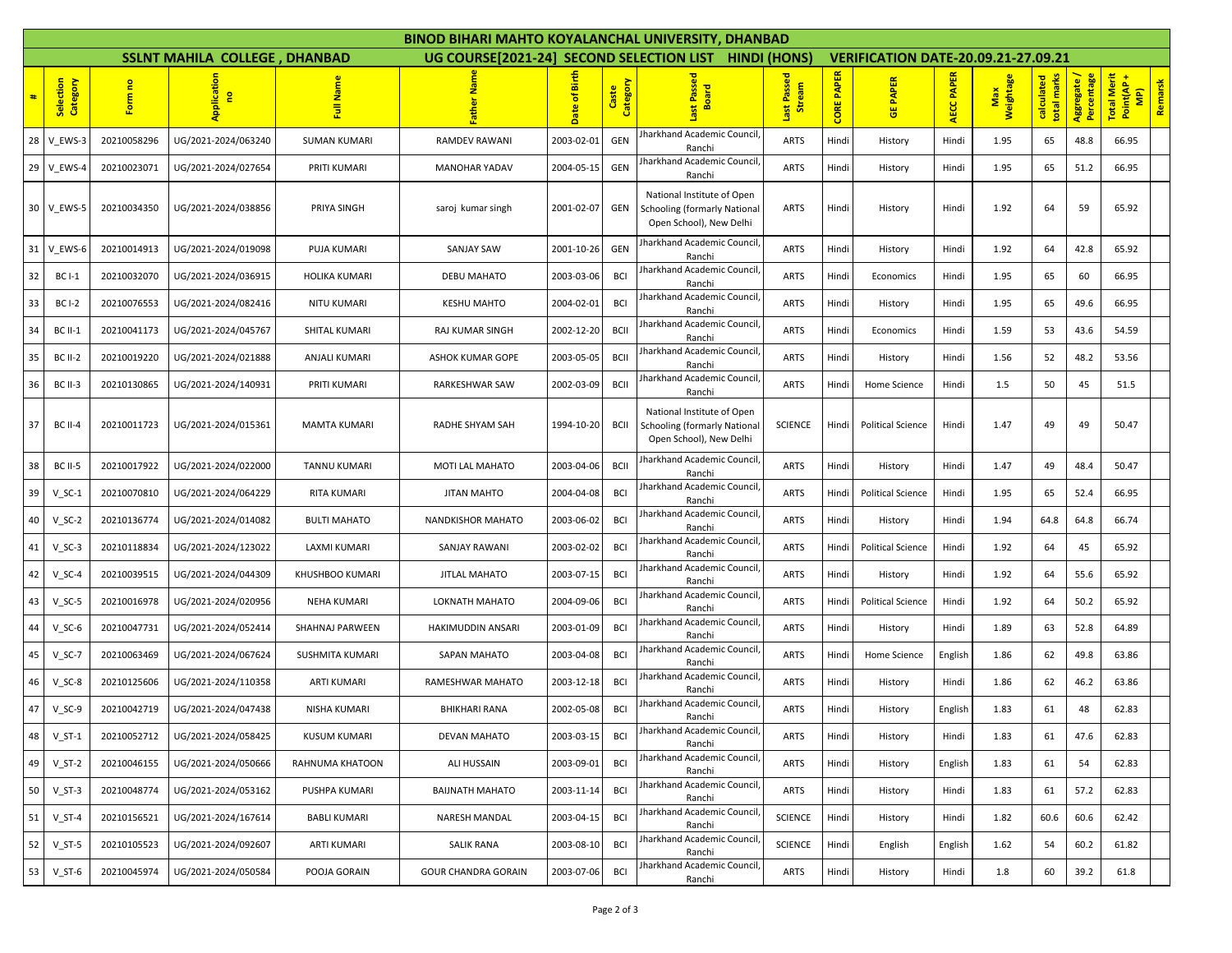| BINOD BIHARI MAHTO KOYALANCHAL UNIVERSITY, DHANBAD |                       |             |                               |                     |                                          |                  |                   |                                                                                              |                                |                   |                                            |                   |                         |                           |                           |                                                       |
|----------------------------------------------------|-----------------------|-------------|-------------------------------|---------------------|------------------------------------------|------------------|-------------------|----------------------------------------------------------------------------------------------|--------------------------------|-------------------|--------------------------------------------|-------------------|-------------------------|---------------------------|---------------------------|-------------------------------------------------------|
|                                                    |                       |             | SSLNT MAHILA COLLEGE, DHANBAD |                     | UG COURSE[2021-24] SECOND SELECTION LIST |                  |                   |                                                                                              | <b>HINDI (HONS)</b>            |                   | <b>VERIFICATION DATE-20.09.21-27.09.21</b> |                   |                         |                           |                           |                                                       |
| #                                                  | Selection<br>Category | Form no     | Applicati<br>$\mathbf{e}$     | Full Name           |                                          | Birth<br>Date of | Caste<br>Category | st Passed<br>Board                                                                           | Passed<br>Last Passe<br>Stream | <b>CORE PAPER</b> | <b>PAPER</b><br>凒                          | <b>AECC PAPER</b> | Weightage<br><b>Max</b> | calculated<br>total marks | Aggregate /<br>Percentage | Total Merit<br>Point(AP +<br>Remarsk<br>$\widehat{P}$ |
|                                                    | 28 V EWS-3            | 20210058296 | UG/2021-2024/063240           | <b>SUMAN KUMARI</b> | RAMDEV RAWANI                            | 2003-02-01       | GEN               | Iharkhand Academic Council<br>Ranchi                                                         | <b>ARTS</b>                    | Hindi             | History                                    | Hindi             | 1.95                    | 65                        | 48.8                      | 66.95                                                 |
|                                                    | 29 V EWS-4            | 20210023071 | UG/2021-2024/027654           | PRITI KUMARI        | <b>MANOHAR YADAV</b>                     | 2004-05-15       | GEN               | Iharkhand Academic Council<br>Ranchi                                                         | <b>ARTS</b>                    | Hindi             | History                                    | Hindi             | 1.95                    | 65                        | 51.2                      | 66.95                                                 |
|                                                    | 30 V_EWS-5            | 20210034350 | UG/2021-2024/038856           | PRIYA SINGH         | saroj kumar singh                        | 2001-02-07       | GEN               | National Institute of Open<br><b>Schooling (formarly National</b><br>Open School), New Delhi | <b>ARTS</b>                    | Hindi             | History                                    | Hindi             | 1.92                    | 64                        | 59                        | 65.92                                                 |
|                                                    | 31 V_EWS-6            | 20210014913 | UG/2021-2024/019098           | <b>PUJA KUMARI</b>  | <b>SANJAY SAW</b>                        | 2001-10-26       | GEN               | Iharkhand Academic Council<br>Ranchi                                                         | <b>ARTS</b>                    | Hindi             | History                                    | Hindi             | 1.92                    | 64                        | 42.8                      | 65.92                                                 |
| 32                                                 | $BCI-1$               | 20210032070 | UG/2021-2024/036915           | HOLIKA KUMARI       | <b>DEBU MAHATO</b>                       | 2003-03-06       | <b>BCI</b>        | Iharkhand Academic Council<br>Ranchi                                                         | <b>ARTS</b>                    | Hindi             | Economics                                  | Hindi             | 1.95                    | 65                        | 60                        | 66.95                                                 |
| 33                                                 | <b>BC I-2</b>         | 20210076553 | UG/2021-2024/082416           | <b>NITU KUMARI</b>  | <b>KESHU MAHTO</b>                       | 2004-02-01       | <b>BCI</b>        | Jharkhand Academic Council<br>Ranchi                                                         | <b>ARTS</b>                    | Hindi             | History                                    | Hindi             | 1.95                    | 65                        | 49.6                      | 66.95                                                 |
| 34                                                 | BC II-1               | 20210041173 | UG/2021-2024/045767           | SHITAL KUMARI       | RAJ KUMAR SINGH                          | 2002-12-20       | <b>BCII</b>       | Jharkhand Academic Council<br>Ranchi                                                         | <b>ARTS</b>                    | Hindi             | Economics                                  | Hindi             | 1.59                    | 53                        | 43.6                      | 54.59                                                 |
| 35                                                 | <b>BC II-2</b>        | 20210019220 | UG/2021-2024/021888           | ANJALI KUMARI       | ASHOK KUMAR GOPE                         | 2003-05-05       | <b>BCII</b>       | Jharkhand Academic Council<br>Ranchi                                                         | <b>ARTS</b>                    | Hindi             | History                                    | Hindi             | 1.56                    | 52                        | 48.2                      | 53.56                                                 |
| 36                                                 | BC II-3               | 20210130865 | UG/2021-2024/140931           | PRITI KUMARI        | RARKESHWAR SAW                           | 2002-03-09       | <b>BCII</b>       | Jharkhand Academic Council<br>Ranchi                                                         | <b>ARTS</b>                    | Hindi             | Home Science                               | Hindi             | 1.5                     | 50                        | 45                        | 51.5                                                  |
| 37                                                 | <b>BC II-4</b>        | 20210011723 | UG/2021-2024/015361           | <b>MAMTA KUMARI</b> | RADHE SHYAM SAH                          | 1994-10-20       | <b>BCII</b>       | National Institute of Open<br>Schooling (formarly National<br>Open School), New Delhi        | <b>SCIENCE</b>                 | Hindi             | <b>Political Science</b>                   | Hindi             | 1.47                    | 49                        | 49                        | 50.47                                                 |
| 38                                                 | <b>BC II-5</b>        | 20210017922 | UG/2021-2024/022000           | TANNU KUMARI        | MOTI LAL MAHATO                          | 2003-04-06       | <b>BCII</b>       | Iharkhand Academic Council<br>Ranchi                                                         | <b>ARTS</b>                    | Hindi             | History                                    | Hindi             | 1.47                    | 49                        | 48.4                      | 50.47                                                 |
| 39                                                 | $V_S$ C-1             | 20210070810 | UG/2021-2024/064229           | RITA KUMARI         | <b>JITAN MAHTO</b>                       | 2004-04-08       | <b>BCI</b>        | Iharkhand Academic Council<br>Ranchi                                                         | <b>ARTS</b>                    | Hindi             | <b>Political Science</b>                   | Hindi             | 1.95                    | 65                        | 52.4                      | 66.95                                                 |
| 40                                                 | $V_SC-2$              | 20210136774 | UG/2021-2024/014082           | <b>BULTI MAHATO</b> | NANDKISHOR MAHATO                        | 2003-06-02       | <b>BCI</b>        | Iharkhand Academic Council<br>Ranchi                                                         | <b>ARTS</b>                    | Hindi             | History                                    | Hindi             | 1.94                    | 64.8                      | 64.8                      | 66.74                                                 |
| 41                                                 | $V$ SC-3              | 20210118834 | UG/2021-2024/123022           | LAXMI KUMARI        | SANJAY RAWANI                            | 2003-02-02       | <b>BCI</b>        | Jharkhand Academic Council<br>Ranchi                                                         | <b>ARTS</b>                    | Hindi             | <b>Political Science</b>                   | Hindi             | 1.92                    | 64                        | 45                        | 65.92                                                 |
| 42                                                 | $V$ SC-4              | 20210039515 | UG/2021-2024/044309           | KHUSHBOO KUMARI     | <b>JITLAL MAHATO</b>                     | 2003-07-15       | <b>BCI</b>        | Iharkhand Academic Council<br>Ranchi                                                         | <b>ARTS</b>                    | Hindi             | History                                    | Hindi             | 1.92                    | 64                        | 55.6                      | 65.92                                                 |
| 43                                                 | $V_SC-5$              | 20210016978 | UG/2021-2024/020956           | <b>NEHA KUMARI</b>  | LOKNATH MAHATO                           | 2004-09-06       | <b>BCI</b>        | Jharkhand Academic Council<br>Ranchi                                                         | <b>ARTS</b>                    | Hindi             | <b>Political Science</b>                   | Hindi             | 1.92                    | 64                        | 50.2                      | 65.92                                                 |
| 44                                                 | $V_SC-6$              | 20210047731 | UG/2021-2024/052414           | SHAHNAJ PARWEEN     | HAKIMUDDIN ANSARI                        | 2003-01-09       | <b>BCI</b>        | Jharkhand Academic Council<br>Ranchi                                                         | <b>ARTS</b>                    | Hindi             | History                                    | Hindi             | 1.89                    | 63                        | 52.8                      | 64.89                                                 |
| 45                                                 | V SC-7                | 20210063469 | UG/2021-2024/067624           | SUSHMITA KUMARI     | SAPAN MAHATO                             | 2003-04-08       | <b>BCI</b>        | Iharkhand Academic Council<br>Ranchi                                                         | <b>ARTS</b>                    | Hindi             | Home Science                               | English           | 1.86                    | 62                        | 49.8                      | 63.86                                                 |
| 46                                                 | V SC-8                | 20210125606 | UG/2021-2024/110358           | <b>ARTI KUMARI</b>  | RAMESHWAR MAHATO                         | 2003-12-18       | <b>BCI</b>        | Jharkhand Academic Council<br>Ranchi                                                         | <b>ARTS</b>                    | Hindi             | History                                    | Hindi             | 1.86                    | 62                        | 46.2                      | 63.86                                                 |
| 47                                                 | $V$ SC-9              | 20210042719 | UG/2021-2024/047438           | NISHA KUMARI        | <b>BHIKHARI RANA</b>                     | 2002-05-08       | <b>BCI</b>        | Iharkhand Academic Council<br>Ranchi                                                         | <b>ARTS</b>                    | Hindi             | History                                    | English           | 1.83                    | 61                        | 48                        | 62.83                                                 |
| 48                                                 | $V_S$ T-1             | 20210052712 | UG/2021-2024/058425           | <b>KUSUM KUMARI</b> | DEVAN MAHATO                             | 2003-03-15       | <b>BCI</b>        | Jharkhand Academic Council,<br>Ranchi                                                        | <b>ARTS</b>                    | Hindi             | History                                    | Hindi             | 1.83                    | 61                        | 47.6                      | 62.83                                                 |
| 49                                                 | $V_S$ T-2             | 20210046155 | UG/2021-2024/050666           | RAHNUMA KHATOON     | ALI HUSSAIN                              | 2003-09-01       | <b>BCI</b>        | <b>Jharkhand Academic Council</b> ,<br>Ranchi                                                | <b>ARTS</b>                    | Hindi             | History                                    | English           | 1.83                    | 61                        | 54                        | 62.83                                                 |
| 50                                                 | $V_S$ T-3             | 20210048774 | UG/2021-2024/053162           | PUSHPA KUMARI       | <b>BAIJNATH MAHATO</b>                   | 2003-11-14       | <b>BCI</b>        | harkhand Academic Council<br>Ranchi                                                          | <b>ARTS</b>                    | Hindi             | History                                    | Hindi             | 1.83                    | 61                        | 57.2                      | 62.83                                                 |
| 51                                                 | $V_S$ T-4             | 20210156521 | UG/2021-2024/167614           | <b>BABLI KUMARI</b> | NARESH MANDAL                            | 2003-04-15       | <b>BCI</b>        | Jharkhand Academic Council,<br>Ranchi                                                        | <b>SCIENCE</b>                 | Hindi             | History                                    | Hindi             | 1.82                    | 60.6                      | 60.6                      | 62.42                                                 |
| 52                                                 | $V_S$ T-5             | 20210105523 | UG/2021-2024/092607           | ARTI KUMARI         | <b>SALIK RANA</b>                        | 2003-08-10       | <b>BCI</b>        | Jharkhand Academic Council,<br>Ranchi                                                        | <b>SCIENCE</b>                 | Hindi             | English                                    | English           | 1.62                    | 54                        | 60.2                      | 61.82                                                 |
| 53                                                 | $V_S$ T-6             | 20210045974 | UG/2021-2024/050584           | POOJA GORAIN        | <b>GOUR CHANDRA GORAIN</b>               | 2003-07-06       | <b>BCI</b>        | Jharkhand Academic Council,<br>Ranchi                                                        | ARTS                           | Hindi             | History                                    | Hindi             | 1.8                     | 60                        | 39.2                      | 61.8                                                  |